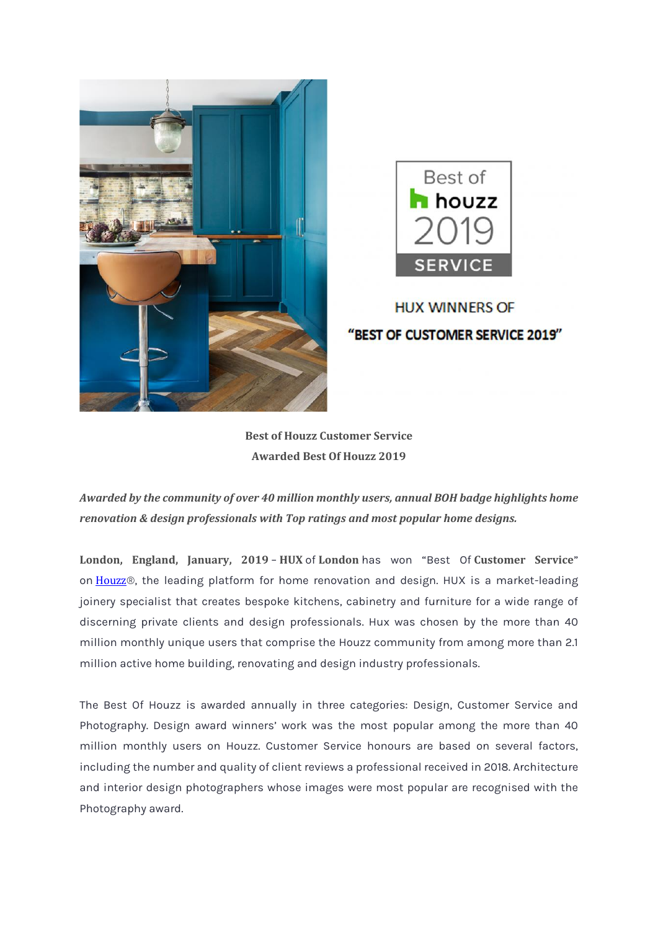



## **HUX WINNERS OF** "BEST OF CUSTOMER SERVICE 2019"

**Best of Houzz Customer Service Awarded Best Of Houzz 2019**

*Awarded by the community of over 40 million monthly users, annual BOH badge highlights home renovation & design professionals with Top ratings and most popular home designs.*

**London, England, January, 2019** – **HUX** of **London** has won "Best Of **Customer Service**" on [Houzz](http://www.houzz.co.uk/)®, the leading platform for home renovation and design. HUX is a market-leading joinery specialist that creates bespoke kitchens, cabinetry and furniture for a wide range of discerning private clients and design professionals. Hux was chosen by the more than 40 million monthly unique users that comprise the Houzz community from among more than 2.1 million active home building, renovating and design industry professionals.

The Best Of Houzz is awarded annually in three categories: Design, Customer Service and Photography. Design award winners' work was the most popular among the more than 40 million monthly users on Houzz. Customer Service honours are based on several factors, including the number and quality of client reviews a professional received in 2018. Architecture and interior design photographers whose images were most popular are recognised with the Photography award.